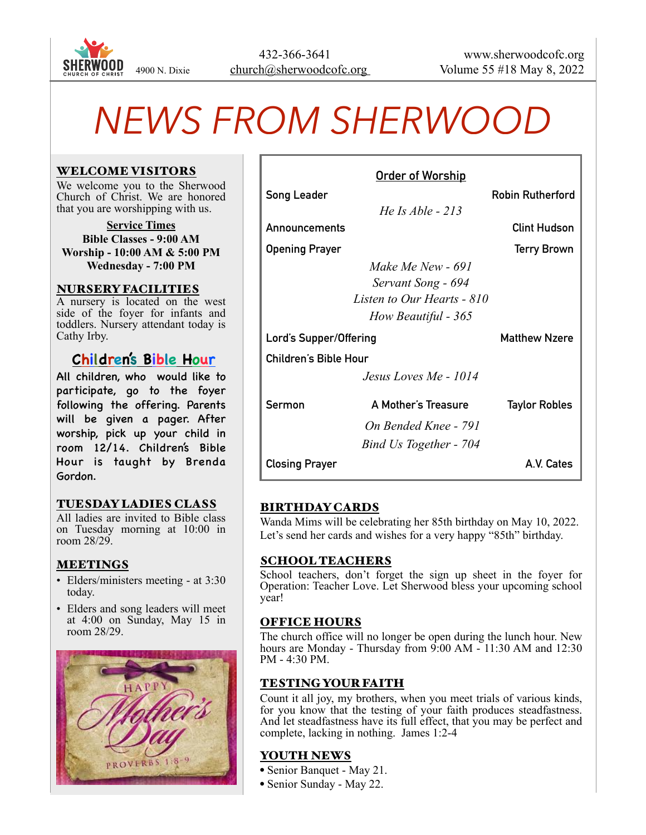

# *NEWS FROM SHERWOOD*

#### WELCOME VISITORS

We welcome you to the Sherwood Church of Christ. We are honored that you are worshipping with us.

**Service Times Bible Classes - 9:00 AM Worship - 10:00 AM & 5:00 PM Wednesday - 7:00 PM**

#### NURSERY FACILITIES

A nursery is located on the west side of the foyer for infants and toddlers. Nursery attendant today is Cathy Irby.

# **Children's Bible Hour**

All children, who would like to participate, go to the foyer following the offering. Parents will be given a pager. After worship, pick up your child in room 12/14. Children's Bible Hour is taught by Brenda Gordon.

# TUESDAY LADIES CLASS

All ladies are invited to Bible class on Tuesday morning at 10:00 in room 28/29.

#### MEETINGS

- Elders/ministers meeting at 3:30 today.
- Elders and song leaders will meet at 4:00 on Sunday, May 15 in room 28/29.



| <u>Order of Worship</u>      |                            |                         |
|------------------------------|----------------------------|-------------------------|
| Song Leader                  |                            | <b>Robin Rutherford</b> |
|                              | He Is Able $-213$          |                         |
| Announcements                |                            | <b>Clint Hudson</b>     |
| <b>Opening Prayer</b>        |                            | <b>Terry Brown</b>      |
|                              | Make Me New - 691          |                         |
|                              | Servant Song - 694         |                         |
|                              | Listen to Our Hearts - 810 |                         |
|                              | How Beautiful - 365        |                         |
| Lord's Supper/Offering       |                            | <b>Matthew Nzere</b>    |
| <b>Children's Bible Hour</b> |                            |                         |
|                              | Jesus Loves Me - 1014      |                         |
| Sermon                       | A Mother's Treasure        | <b>Taylor Robles</b>    |
|                              | On Bended Knee - 791       |                         |
|                              | Bind Us Together - 704     |                         |
| <b>Closing Prayer</b>        |                            | A.V. Cates              |

# BIRTHDAY CARDS

Wanda Mims will be celebrating her 85th birthday on May 10, 2022. Let's send her cards and wishes for a very happy "85th" birthday.

#### SCHOOL TEACHERS

School teachers, don't forget the sign up sheet in the foyer for Operation: Teacher Love. Let Sherwood bless your upcoming school year!

#### OFFICE HOURS

The church office will no longer be open during the lunch hour. New hours are Monday - Thursday from 9:00 AM - 11:30 AM and 12:30 PM - 4:30 PM.

# TESTING YOUR FAITH

Count it all joy, my brothers, when you meet trials of various kinds, for you know that the testing of your faith produces steadfastness. And let steadfastness have its full effect, that you may be perfect and complete, lacking in nothing. James 1:2-4

#### YOUTH NEWS

- Senior Banquet May 21.
- Senior Sunday May 22.